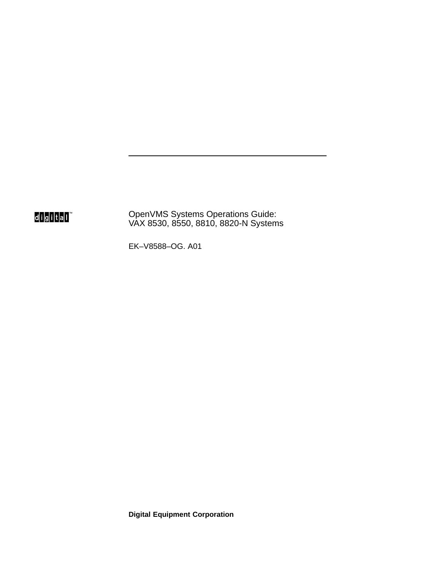# digital<sup>"</sup>

OpenVMS Systems Operations Guide: VAX 8530, 8550, 8810, 8820-N Systems

EK–V8588–OG. A01

**Digital Equipment Corporation**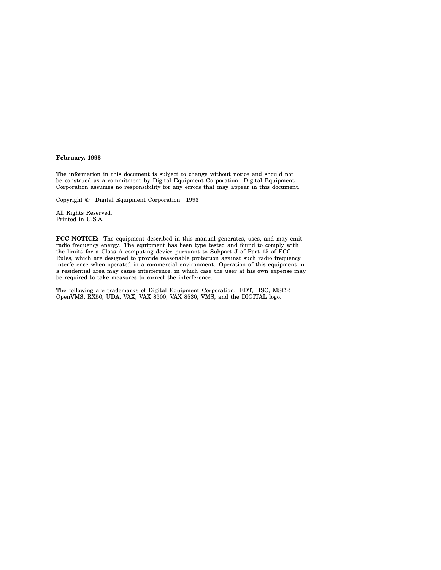#### **February, 1993**

The information in this document is subject to change without notice and should not be construed as a commitment by Digital Equipment Corporation. Digital Equipment Corporation assumes no responsibility for any errors that may appear in this document.

Copyright © Digital Equipment Corporation 1993

All Rights Reserved. Printed in U.S.A.

**FCC NOTICE:** The equipment described in this manual generates, uses, and may emit radio frequency energy. The equipment has been type tested and found to comply with the limits for a Class A computing device pursuant to Subpart J of Part 15 of FCC Rules, which are designed to provide reasonable protection against such radio frequency interference when operated in a commercial environment. Operation of this equipment in a residential area may cause interference, in which case the user at his own expense may be required to take measures to correct the interference.

The following are trademarks of Digital Equipment Corporation: EDT, HSC, MSCP, OpenVMS, RX50, UDA, VAX, VAX 8500, VAX 8530, VMS, and the DIGITAL logo.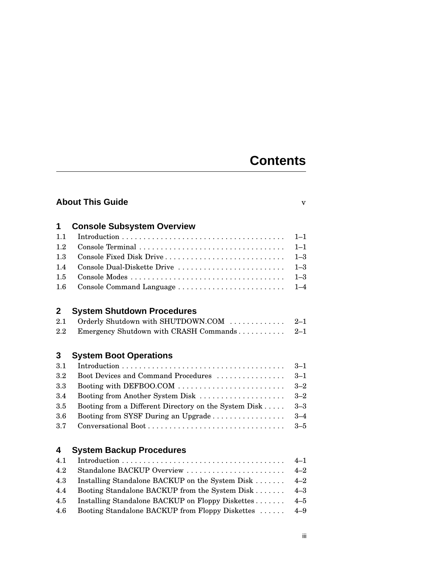# **Contents**

| 1            | <b>Console Subsystem Overview</b>                     |         |
|--------------|-------------------------------------------------------|---------|
| 1.1          |                                                       | $1 - 1$ |
| 1.2          |                                                       | $1 - 1$ |
| 1.3          | Console Fixed Disk Drive                              | $1 - 3$ |
| 1.4          | Console Dual-Diskette Drive                           | $1 - 3$ |
| 1.5          |                                                       | $1 - 3$ |
| 1.6          |                                                       | $1 - 4$ |
| $\mathbf{2}$ | <b>System Shutdown Procedures</b>                     |         |
| 2.1          | Orderly Shutdown with SHUTDOWN.COM                    | $2 - 1$ |
| 2.2          | Emergency Shutdown with CRASH Commands                | $2 - 1$ |
| 3            | <b>System Boot Operations</b>                         |         |
| 3.1          |                                                       | $3 - 1$ |
| 3.2          | Boot Devices and Command Procedures                   | $3 - 1$ |
| 3.3          | Booting with DEFBOO.COM                               | $3 - 2$ |
| 3.4          | Booting from Another System Disk                      | $3 - 2$ |
| 3.5          | Booting from a Different Directory on the System Disk | $3 - 3$ |
| $3.6\,$      | Booting from SYSF During an Upgrade                   | $3 - 4$ |
| 3.7          |                                                       | $3 - 5$ |
| 4            | <b>System Backup Procedures</b>                       |         |
| 4.1          |                                                       | $4 - 1$ |
| 4.2          | Standalone BACKUP Overview                            | $4 - 2$ |
| 4.3          | Installing Standalone BACKUP on the System Disk       | $4 - 2$ |
| 4.4          | Booting Standalone BACKUP from the System Disk        | $4 - 3$ |
| 4.5          | Installing Standalone BACKUP on Floppy Diskettes      | $4 - 5$ |
| 4.6          | Booting Standalone BACKUP from Floppy Diskettes       | $4 - 9$ |
|              |                                                       |         |

**About This Guide** v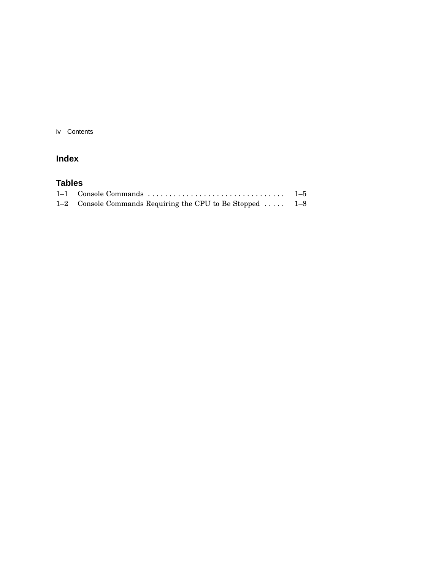iv Contents

#### **Index**

#### **Tables**

| 1–1 Console Commands                                      | $1\hbox{--}5$ |
|-----------------------------------------------------------|---------------|
| 1-2 Console Commands Requiring the CPU to Be Stopped  1-8 |               |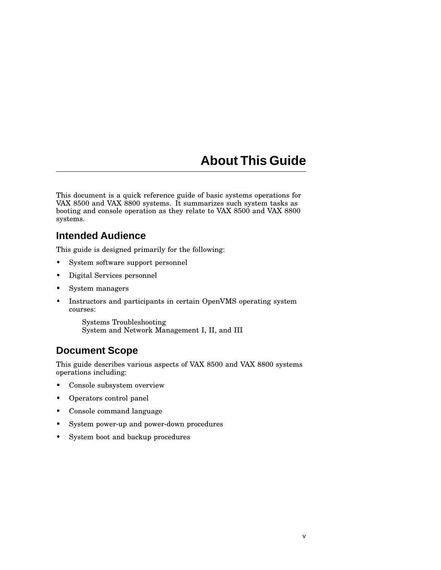# **About This Guide**

This document is a quick reference guide of basic systems operations for VAX 8500 and VAX 8800 systems. It summarizes such system tasks as booting and console operation as they relate to VAX 8500 and VAX 8800 systems.

### **Intended Audience**

This guide is designed primarily for the following:

- System software support personnel
- Digital Services personnel
- System managers
- Instructors and participants in certain OpenVMS operating system courses:

Systems Troubleshooting System and Network Management I, II, and III

## **Document Scope**

This guide describes various aspects of VAX 8500 and VAX 8800 systems operations including:

- Console subsystem overview
- Operators control panel
- Console command language
- System power-up and power-down procedures
- System boot and backup procedures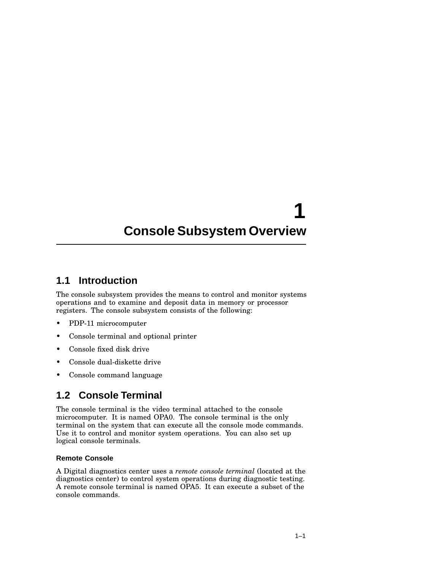# **1 Console Subsystem Overview**

### **1.1 Introduction**

The console subsystem provides the means to control and monitor systems operations and to examine and deposit data in memory or processor registers. The console subsystem consists of the following:

- PDP-11 microcomputer
- Console terminal and optional printer
- Console fixed disk drive
- Console dual-diskette drive
- Console command language

## **1.2 Console Terminal**

The console terminal is the video terminal attached to the console microcomputer. It is named OPA0. The console terminal is the only terminal on the system that can execute all the console mode commands. Use it to control and monitor system operations. You can also set up logical console terminals.

#### **Remote Console**

A Digital diagnostics center uses a *remote console terminal* (located at the diagnostics center) to control system operations during diagnostic testing. A remote console terminal is named OPA5. It can execute a subset of the console commands.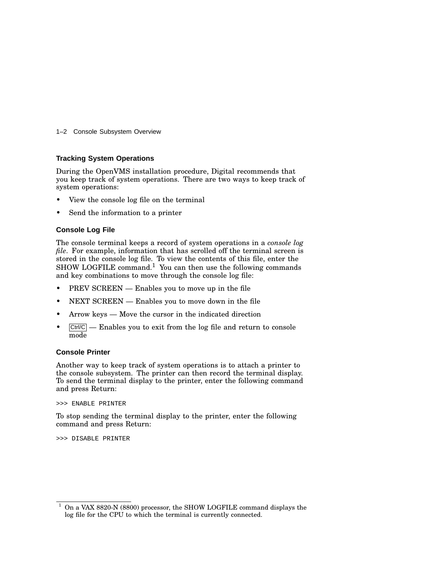#### 1–2 Console Subsystem Overview

#### **Tracking System Operations**

During the OpenVMS installation procedure, Digital recommends that you keep track of system operations. There are two ways to keep track of system operations:

- View the console log file on the terminal
- Send the information to a printer

#### **Console Log File**

The console terminal keeps a record of system operations in a *console log file*. For example, information that has scrolled off the terminal screen is stored in the console log file. To view the contents of this file, enter the  $SHOW LOGFILE command<sup>1</sup> You can then use the following commands$ and key combinations to move through the console log file:

- PREV SCREEN Enables you to move up in the file
- NEXT SCREEN Enables you to move down in the file
- Arrow keys Move the cursor in the indicated direction
- $\boxed{\text{Ctrl/C}}$  Enables you to exit from the log file and return to console mode

#### **Console Printer**

Another way to keep track of system operations is to attach a printer to the console subsystem. The printer can then record the terminal display. To send the terminal display to the printer, enter the following command and press Return:

>>> ENABLE PRINTER

To stop sending the terminal display to the printer, enter the following command and press Return:

>>> DISABLE PRINTER

 $1$  On a VAX 8820-N (8800) processor, the SHOW LOGFILE command displays the log file for the CPU to which the terminal is currently connected.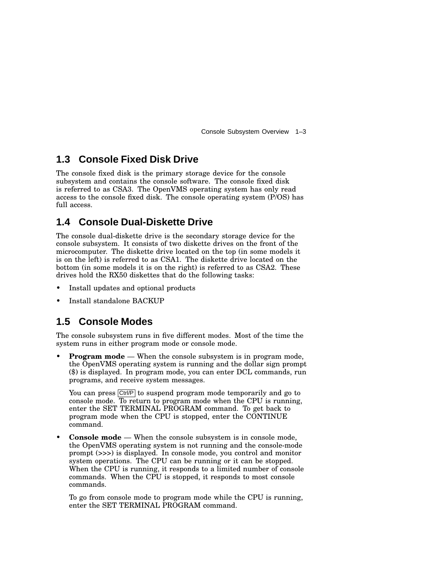Console Subsystem Overview 1–3

### **1.3 Console Fixed Disk Drive**

The console fixed disk is the primary storage device for the console subsystem and contains the console software. The console fixed disk is referred to as CSA3. The OpenVMS operating system has only read access to the console fixed disk. The console operating system (P/OS) has full access.

## **1.4 Console Dual-Diskette Drive**

The console dual-diskette drive is the secondary storage device for the console subsystem. It consists of two diskette drives on the front of the microcomputer. The diskette drive located on the top (in some models it is on the left) is referred to as CSA1. The diskette drive located on the bottom (in some models it is on the right) is referred to as CSA2. These drives hold the RX50 diskettes that do the following tasks:

- Install updates and optional products
- Install standalone BACKUP

#### **1.5 Console Modes**

The console subsystem runs in five different modes. Most of the time the system runs in either program mode or console mode.

**Program mode** — When the console subsystem is in program mode, the OpenVMS operating system is running and the dollar sign prompt (\$) is displayed. In program mode, you can enter DCL commands, run programs, and receive system messages.

You can press  $\boxed{\text{Ctrl/P}}$  to suspend program mode temporarily and go to console mode. To return to program mode when the CPU is running, enter the SET TERMINAL PROGRAM command. To get back to program mode when the CPU is stopped, enter the CONTINUE command.

• **Console mode** — When the console subsystem is in console mode, the OpenVMS operating system is not running and the console-mode prompt (>>>) is displayed. In console mode, you control and monitor system operations. The CPU can be running or it can be stopped. When the CPU is running, it responds to a limited number of console commands. When the CPU is stopped, it responds to most console commands.

To go from console mode to program mode while the CPU is running, enter the SET TERMINAL PROGRAM command.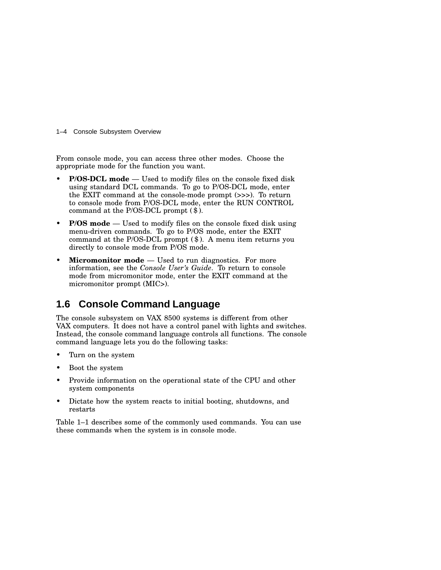1–4 Console Subsystem Overview

From console mode, you can access three other modes. Choose the appropriate mode for the function you want.

- **P/OS-DCL mode** Used to modify files on the console fixed disk using standard DCL commands. To go to P/OS-DCL mode, enter the EXIT command at the console-mode prompt (>>>). To return to console mode from P/OS-DCL mode, enter the RUN CONTROL command at the P/OS-DCL prompt (\$).
- **P/OS mode** Used to modify files on the console fixed disk using menu-driven commands. To go to P/OS mode, enter the EXIT command at the P/OS-DCL prompt (\$). A menu item returns you directly to console mode from P/OS mode.
- **Micromonitor mode** Used to run diagnostics. For more information, see the *Console User's Guide*. To return to console mode from micromonitor mode, enter the EXIT command at the micromonitor prompt (MIC>).

## **1.6 Console Command Language**

The console subsystem on VAX 8500 systems is different from other VAX computers. It does not have a control panel with lights and switches. Instead, the console command language controls all functions. The console command language lets you do the following tasks:

- Turn on the system
- Boot the system
- Provide information on the operational state of the CPU and other system components
- Dictate how the system reacts to initial booting, shutdowns, and restarts

Table 1–1 describes some of the commonly used commands. You can use these commands when the system is in console mode.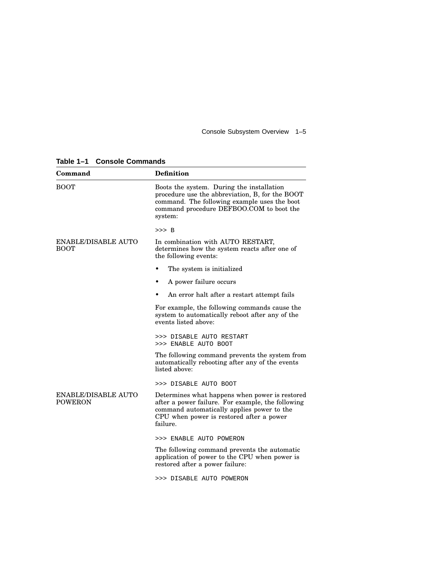Console Subsystem Overview 1–5

**Table 1–1 Console Commands**

| Command                                      | <b>Definition</b>                                                                                                                                                                                         |
|----------------------------------------------|-----------------------------------------------------------------------------------------------------------------------------------------------------------------------------------------------------------|
| <b>BOOT</b>                                  | Boots the system. During the installation<br>procedure use the abbreviation, B, for the BOOT<br>command. The following example uses the boot<br>command procedure DEFBOO.COM to boot the<br>system:       |
|                                              | $>>$ B                                                                                                                                                                                                    |
| <b>ENABLE/DISABLE AUTO</b><br><b>BOOT</b>    | In combination with AUTO RESTART,<br>determines how the system reacts after one of<br>the following events:                                                                                               |
|                                              | The system is initialized.                                                                                                                                                                                |
|                                              | A power failure occurs                                                                                                                                                                                    |
|                                              | An error halt after a restart attempt fails                                                                                                                                                               |
|                                              | For example, the following commands cause the<br>system to automatically reboot after any of the<br>events listed above:                                                                                  |
|                                              | >>> DISABLE AUTO RESTART<br>>>> ENABLE AUTO BOOT                                                                                                                                                          |
|                                              | The following command prevents the system from<br>automatically rebooting after any of the events<br>listed above:                                                                                        |
|                                              | >>> DISABLE AUTO BOOT                                                                                                                                                                                     |
| <b>ENABLE/DISABLE AUTO</b><br><b>POWERON</b> | Determines what happens when power is restored<br>after a power failure. For example, the following<br>command automatically applies power to the<br>CPU when power is restored after a power<br>failure. |
|                                              | >>> ENABLE AUTO POWERON                                                                                                                                                                                   |
|                                              | The following command prevents the automatic<br>application of power to the CPU when power is<br>restored after a power failure:                                                                          |
|                                              | >>> DISABLE AUTO POWERON                                                                                                                                                                                  |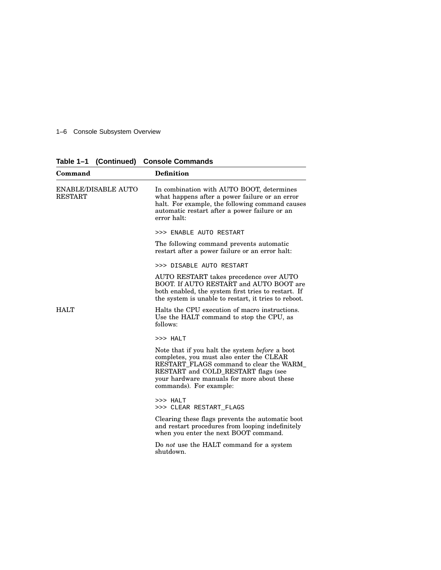#### 1–6 Console Subsystem Overview

| Command                                      | <b>Definition</b>                                                                                                                                                                                                                                      |
|----------------------------------------------|--------------------------------------------------------------------------------------------------------------------------------------------------------------------------------------------------------------------------------------------------------|
| <b>ENABLE/DISABLE AUTO</b><br><b>RESTART</b> | In combination with AUTO BOOT, determines<br>what happens after a power failure or an error<br>halt. For example, the following command causes<br>automatic restart after a power failure or an<br>error halt:                                         |
|                                              | >>> ENABLE AUTO RESTART                                                                                                                                                                                                                                |
|                                              | The following command prevents automatic<br>restart after a power failure or an error halt:                                                                                                                                                            |
|                                              | >>> DISABLE AUTO RESTART                                                                                                                                                                                                                               |
|                                              | AUTO RESTART takes precedence over AUTO<br>BOOT. If AUTO RESTART and AUTO BOOT are<br>both enabled, the system first tries to restart. If<br>the system is unable to restart, it tries to reboot.                                                      |
| <b>HALT</b>                                  | Halts the CPU execution of macro instructions.<br>Use the HALT command to stop the CPU, as<br>follows:                                                                                                                                                 |
|                                              | >>> HALT                                                                                                                                                                                                                                               |
|                                              | Note that if you halt the system before a boot<br>completes, you must also enter the CLEAR<br>RESTART_FLAGS command to clear the WARM_<br>RESTART and COLD_RESTART flags (see<br>your hardware manuals for more about these<br>commands). For example: |
|                                              | >>> HALT<br>>>> CLEAR RESTART FLAGS                                                                                                                                                                                                                    |
|                                              | Clearing these flags prevents the automatic boot<br>and restart procedures from looping indefinitely<br>when you enter the next BOOT command.                                                                                                          |
|                                              | Do <i>not</i> use the HALT command for a system<br>shutdown.                                                                                                                                                                                           |

**Table 1–1 (Continued) Console Commands**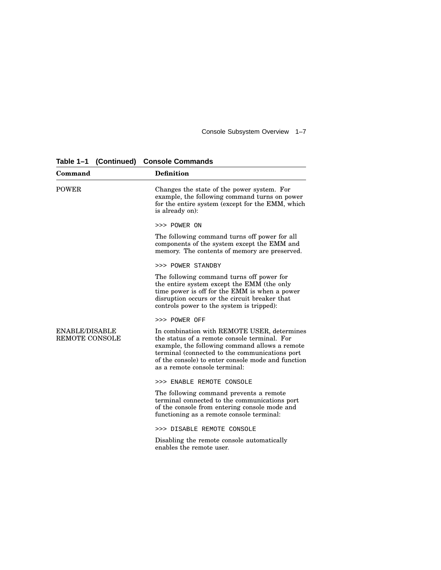Console Subsystem Overview 1–7

**Table 1–1 (Continued) Console Commands**

| Command                                        | <b>Definition</b>                                                                                                                                                                                                                                                                      |
|------------------------------------------------|----------------------------------------------------------------------------------------------------------------------------------------------------------------------------------------------------------------------------------------------------------------------------------------|
| <b>POWER</b>                                   | Changes the state of the power system. For<br>example, the following command turns on power<br>for the entire system (except for the EMM, which<br>is already on):                                                                                                                     |
|                                                | >>> POWER ON                                                                                                                                                                                                                                                                           |
|                                                | The following command turns off power for all<br>components of the system except the EMM and<br>memory. The contents of memory are preserved.                                                                                                                                          |
|                                                | >>> POWER STANDBY                                                                                                                                                                                                                                                                      |
|                                                | The following command turns off power for<br>the entire system except the EMM (the only<br>time power is off for the EMM is when a power<br>disruption occurs or the circuit breaker that<br>controls power to the system is tripped):                                                 |
|                                                | >>> POWER OFF                                                                                                                                                                                                                                                                          |
| <b>ENABLE/DISABLE</b><br><b>REMOTE CONSOLE</b> | In combination with REMOTE USER, determines<br>the status of a remote console terminal. For<br>example, the following command allows a remote<br>terminal (connected to the communications port<br>of the console) to enter console mode and function<br>as a remote console terminal: |
|                                                | >>> ENABLE REMOTE CONSOLE                                                                                                                                                                                                                                                              |
|                                                | The following command prevents a remote<br>terminal connected to the communications port<br>of the console from entering console mode and<br>functioning as a remote console terminal:                                                                                                 |
|                                                | >>> DISABLE REMOTE CONSOLE                                                                                                                                                                                                                                                             |
|                                                | Disabling the remote console automatically<br>enables the remote user.                                                                                                                                                                                                                 |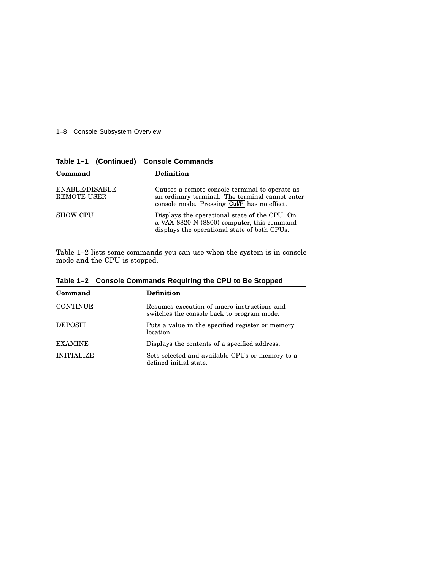#### 1–8 Console Subsystem Overview

|                               | -----------------                                                                                                                                 |
|-------------------------------|---------------------------------------------------------------------------------------------------------------------------------------------------|
| Command                       | <b>Definition</b>                                                                                                                                 |
| ENABLE/DISABLE<br>REMOTE USER | Causes a remote console terminal to operate as<br>an ordinary terminal. The terminal cannot enter<br>console mode. Pressing Ctrl/P has no effect. |
| <b>SHOW CPU</b>               | Displays the operational state of the CPU. On<br>a VAX 8820-N (8800) computer, this command<br>displays the operational state of both CPUs.       |

**Table 1–1 (Continued) Console Commands**

Table 1–2 lists some commands you can use when the system is in console mode and the CPU is stopped.

| Command           | <b>Definition</b>                                                                         |
|-------------------|-------------------------------------------------------------------------------------------|
| <b>CONTINUE</b>   | Resumes execution of macro instructions and<br>switches the console back to program mode. |
| <b>DEPOSIT</b>    | Puts a value in the specified register or memory<br>location.                             |
| <b>EXAMINE</b>    | Displays the contents of a specified address.                                             |
| <b>INITIALIZE</b> | Sets selected and available CPUs or memory to a<br>defined initial state.                 |

**Table 1–2 Console Commands Requiring the CPU to Be Stopped**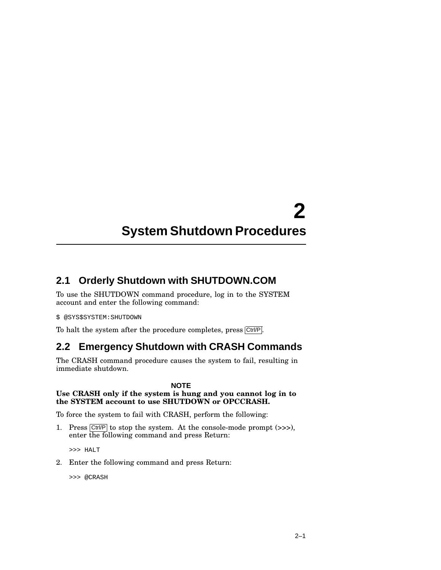# **2 System Shutdown Procedures**

## **2.1 Orderly Shutdown with SHUTDOWN.COM**

To use the SHUTDOWN command procedure, log in to the SYSTEM account and enter the following command:

\$ @SYS\$SYSTEM:SHUTDOWN

To halt the system after the procedure completes, press  $\overline{\text{Ctrl/P}}$ .

## **2.2 Emergency Shutdown with CRASH Commands**

The CRASH command procedure causes the system to fail, resulting in immediate shutdown.

#### **NOTE**

#### **Use CRASH only if the system is hung and you cannot log in to the SYSTEM account to use SHUTDOWN or OPCCRASH.**

To force the system to fail with CRASH, perform the following:

1. Press  $\boxed{\text{Ctrl/P}}$  to stop the system. At the console-mode prompt (>>>), enter the following command and press Return:

>>> HALT

2. Enter the following command and press Return:

```
>>> @CRASH
```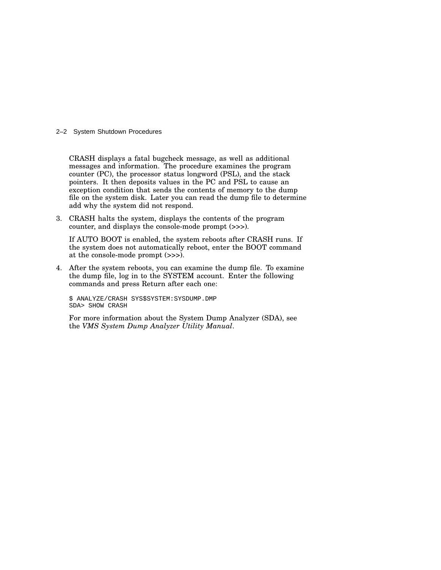#### 2–2 System Shutdown Procedures

CRASH displays a fatal bugcheck message, as well as additional messages and information. The procedure examines the program counter (PC), the processor status longword (PSL), and the stack pointers. It then deposits values in the PC and PSL to cause an exception condition that sends the contents of memory to the dump file on the system disk. Later you can read the dump file to determine add why the system did not respond.

3. CRASH halts the system, displays the contents of the program counter, and displays the console-mode prompt (>>>).

If AUTO BOOT is enabled, the system reboots after CRASH runs. If the system does not automatically reboot, enter the BOOT command at the console-mode prompt (>>>).

4. After the system reboots, you can examine the dump file. To examine the dump file, log in to the SYSTEM account. Enter the following commands and press Return after each one:

\$ ANALYZE/CRASH SYS\$SYSTEM:SYSDUMP.DMP SDA> SHOW CRASH

For more information about the System Dump Analyzer (SDA), see the *VMS System Dump Analyzer Utility Manual*.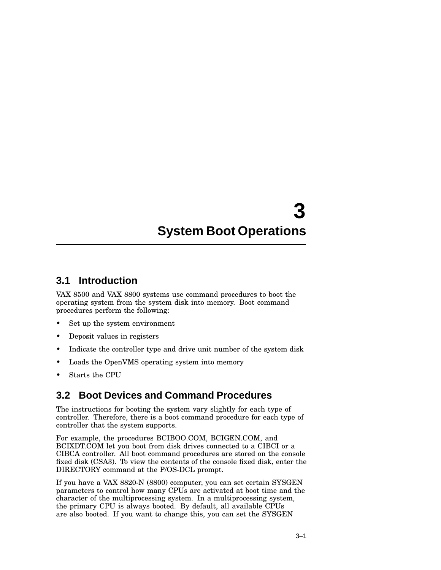# **3 System Boot Operations**

#### **3.1 Introduction**

VAX 8500 and VAX 8800 systems use command procedures to boot the operating system from the system disk into memory. Boot command procedures perform the following:

- Set up the system environment
- Deposit values in registers
- Indicate the controller type and drive unit number of the system disk
- Loads the OpenVMS operating system into memory
- Starts the CPU

## **3.2 Boot Devices and Command Procedures**

The instructions for booting the system vary slightly for each type of controller. Therefore, there is a boot command procedure for each type of controller that the system supports.

For example, the procedures BCIBOO.COM, BCIGEN.COM, and BCIXDT.COM let you boot from disk drives connected to a CIBCI or a CIBCA controller. All boot command procedures are stored on the console fixed disk (CSA3). To view the contents of the console fixed disk, enter the DIRECTORY command at the P/OS-DCL prompt.

If you have a VAX 8820-N (8800) computer, you can set certain SYSGEN parameters to control how many CPUs are activated at boot time and the character of the multiprocessing system. In a multiprocessing system, the primary CPU is always booted. By default, all available CPUs are also booted. If you want to change this, you can set the SYSGEN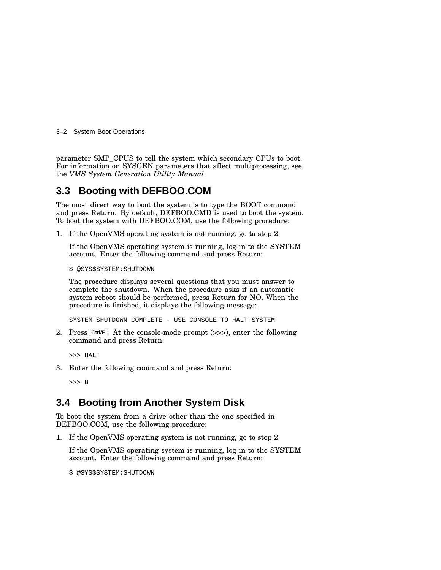3–2 System Boot Operations

parameter SMP\_CPUS to tell the system which secondary CPUs to boot. For information on SYSGEN parameters that affect multiprocessing, see the *VMS System Generation Utility Manual*.

### **3.3 Booting with DEFBOO.COM**

The most direct way to boot the system is to type the BOOT command and press Return. By default, DEFBOO.CMD is used to boot the system. To boot the system with DEFBOO.COM, use the following procedure:

1. If the OpenVMS operating system is not running, go to step 2.

If the OpenVMS operating system is running, log in to the SYSTEM account. Enter the following command and press Return:

\$ @SYS\$SYSTEM:SHUTDOWN

The procedure displays several questions that you must answer to complete the shutdown. When the procedure asks if an automatic system reboot should be performed, press Return for NO. When the procedure is finished, it displays the following message:

SYSTEM SHUTDOWN COMPLETE - USE CONSOLE TO HALT SYSTEM

2. Press  $\boxed{\text{Ctrl/P}}$ . At the console-mode prompt (>>>), enter the following command and press Return:

>>> HALT

3. Enter the following command and press Return:

>>> B

## **3.4 Booting from Another System Disk**

To boot the system from a drive other than the one specified in DEFBOO.COM, use the following procedure:

1. If the OpenVMS operating system is not running, go to step 2.

If the OpenVMS operating system is running, log in to the SYSTEM account. Enter the following command and press Return:

\$ @SYS\$SYSTEM:SHUTDOWN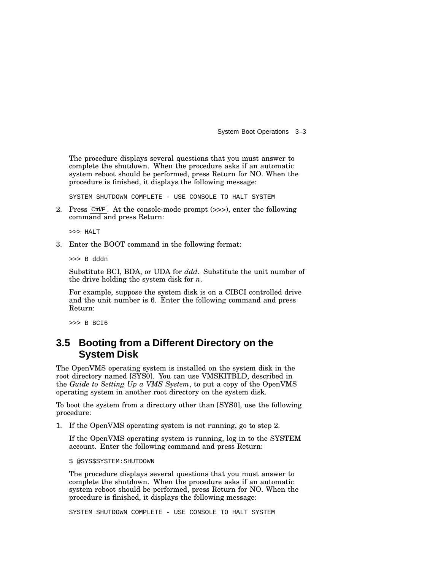System Boot Operations 3–3

The procedure displays several questions that you must answer to complete the shutdown. When the procedure asks if an automatic system reboot should be performed, press Return for NO. When the procedure is finished, it displays the following message:

SYSTEM SHUTDOWN COMPLETE - USE CONSOLE TO HALT SYSTEM

2. Press  $\boxed{\text{Ctrl/P}}$ . At the console-mode prompt (>>>), enter the following command and press Return:

>>> HALT

3. Enter the BOOT command in the following format:

>>> B dddn

Substitute BCI, BDA, or UDA for *ddd*. Substitute the unit number of the drive holding the system disk for *n*.

For example, suppose the system disk is on a CIBCI controlled drive and the unit number is 6. Enter the following command and press Return:

>>> B BCI6

#### **3.5 Booting from a Different Directory on the System Disk**

The OpenVMS operating system is installed on the system disk in the root directory named [SYS0]. You can use VMSKITBLD, described in the *Guide to Setting Up a VMS System*, to put a copy of the OpenVMS operating system in another root directory on the system disk.

To boot the system from a directory other than [SYS0], use the following procedure:

1. If the OpenVMS operating system is not running, go to step 2.

If the OpenVMS operating system is running, log in to the SYSTEM account. Enter the following command and press Return:

\$ @SYS\$SYSTEM:SHUTDOWN

The procedure displays several questions that you must answer to complete the shutdown. When the procedure asks if an automatic system reboot should be performed, press Return for NO. When the procedure is finished, it displays the following message:

SYSTEM SHUTDOWN COMPLETE - USE CONSOLE TO HALT SYSTEM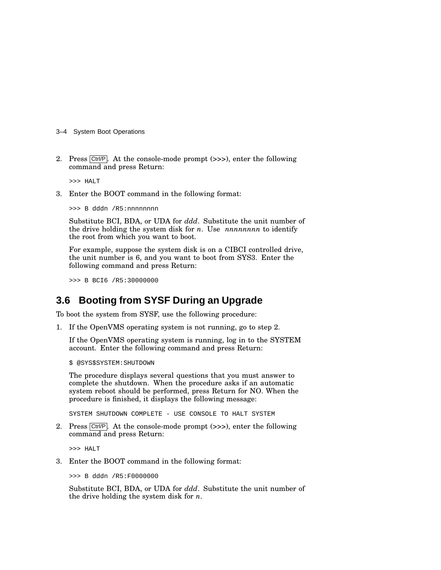- 3–4 System Boot Operations
- 2. Press  $\boxed{\text{Ctrl/P}}$ . At the console-mode prompt (>>>), enter the following command and press Return:

>>> HALT

3. Enter the BOOT command in the following format:

>>> B dddn /R5:nnnnnnnn

Substitute BCI, BDA, or UDA for *ddd*. Substitute the unit number of the drive holding the system disk for *n*. Use *nnnnnnnn* to identify the root from which you want to boot.

For example, suppose the system disk is on a CIBCI controlled drive, the unit number is 6, and you want to boot from SYS3. Enter the following command and press Return:

>>> B BCI6 /R5:30000000

#### **3.6 Booting from SYSF During an Upgrade**

To boot the system from SYSF, use the following procedure:

1. If the OpenVMS operating system is not running, go to step 2.

If the OpenVMS operating system is running, log in to the SYSTEM account. Enter the following command and press Return:

\$ @SYS\$SYSTEM:SHUTDOWN

The procedure displays several questions that you must answer to complete the shutdown. When the procedure asks if an automatic system reboot should be performed, press Return for NO. When the procedure is finished, it displays the following message:

SYSTEM SHUTDOWN COMPLETE - USE CONSOLE TO HALT SYSTEM

2. Press  $\boxed{\text{Ctrl/P}}$ . At the console-mode prompt ( $\gg$ ), enter the following command and press Return:

>>> HALT

3. Enter the BOOT command in the following format:

>>> B dddn /R5:F0000000

Substitute BCI, BDA, or UDA for *ddd*. Substitute the unit number of the drive holding the system disk for *n*.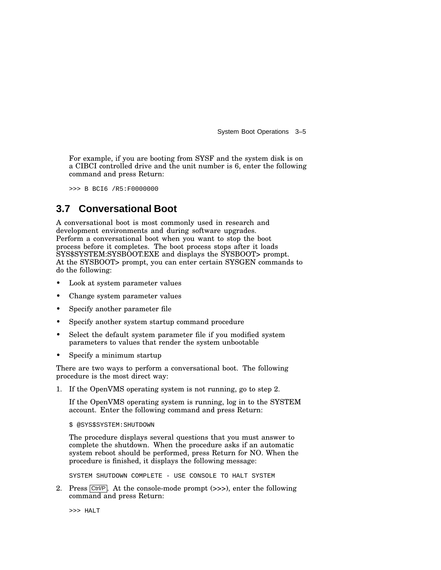System Boot Operations 3–5

For example, if you are booting from SYSF and the system disk is on a CIBCI controlled drive and the unit number is 6, enter the following command and press Return:

>>> B BCI6 /R5:F0000000

#### **3.7 Conversational Boot**

A conversational boot is most commonly used in research and development environments and during software upgrades. Perform a conversational boot when you want to stop the boot process before it completes. The boot process stops after it loads SYS\$SYSTEM:SYSBOOT.EXE and displays the SYSBOOT> prompt. At the SYSBOOT> prompt, you can enter certain SYSGEN commands to do the following:

- Look at system parameter values
- Change system parameter values
- Specify another parameter file
- Specify another system startup command procedure
- Select the default system parameter file if you modified system parameters to values that render the system unbootable
- Specify a minimum startup

There are two ways to perform a conversational boot. The following procedure is the most direct way:

1. If the OpenVMS operating system is not running, go to step 2.

If the OpenVMS operating system is running, log in to the SYSTEM account. Enter the following command and press Return:

\$ @SYS\$SYSTEM:SHUTDOWN

The procedure displays several questions that you must answer to complete the shutdown. When the procedure asks if an automatic system reboot should be performed, press Return for NO. When the procedure is finished, it displays the following message:

SYSTEM SHUTDOWN COMPLETE - USE CONSOLE TO HALT SYSTEM

2. Press  $\overline{\text{Ctrl/P}}$ . At the console-mode prompt (>>>), enter the following command and press Return:

>>> HALT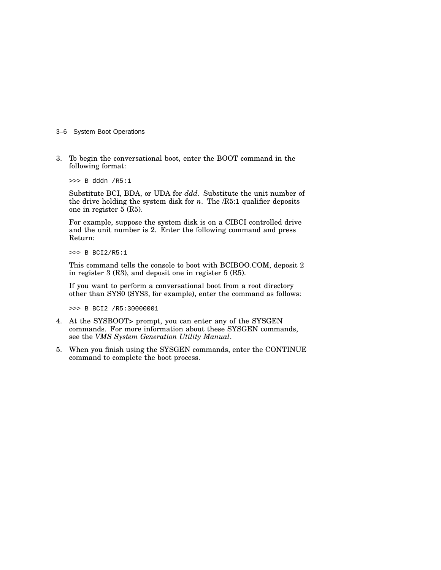- 3–6 System Boot Operations
- 3. To begin the conversational boot, enter the BOOT command in the following format:

>>> B dddn /R5:1

Substitute BCI, BDA, or UDA for *ddd*. Substitute the unit number of the drive holding the system disk for  $n$ . The  $/R5:1$  qualifier deposits one in register 5 (R5).

For example, suppose the system disk is on a CIBCI controlled drive and the unit number is 2. Enter the following command and press Return:

>>> B BCI2/R5:1

This command tells the console to boot with BCIBOO.COM, deposit 2 in register 3 (R3), and deposit one in register 5 (R5).

If you want to perform a conversational boot from a root directory other than SYS0 (SYS3, for example), enter the command as follows:

>>> B BCI2 /R5:30000001

- 4. At the SYSBOOT> prompt, you can enter any of the SYSGEN commands. For more information about these SYSGEN commands, see the *VMS System Generation Utility Manual*.
- 5. When you finish using the SYSGEN commands, enter the CONTINUE command to complete the boot process.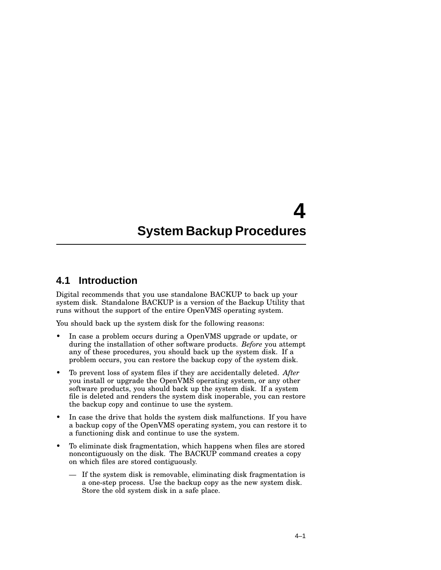# **4 System Backup Procedures**

#### **4.1 Introduction**

Digital recommends that you use standalone BACKUP to back up your system disk. Standalone BACKUP is a version of the Backup Utility that runs without the support of the entire OpenVMS operating system.

You should back up the system disk for the following reasons:

- In case a problem occurs during a OpenVMS upgrade or update, or during the installation of other software products. *Before* you attempt any of these procedures, you should back up the system disk. If a problem occurs, you can restore the backup copy of the system disk.
- To prevent loss of system files if they are accidentally deleted. *After* you install or upgrade the OpenVMS operating system, or any other software products, you should back up the system disk. If a system file is deleted and renders the system disk inoperable, you can restore the backup copy and continue to use the system.
- In case the drive that holds the system disk malfunctions. If you have a backup copy of the OpenVMS operating system, you can restore it to a functioning disk and continue to use the system.
- To eliminate disk fragmentation, which happens when files are stored noncontiguously on the disk. The BACKUP command creates a copy on which files are stored contiguously.
	- If the system disk is removable, eliminating disk fragmentation is a one-step process. Use the backup copy as the new system disk. Store the old system disk in a safe place.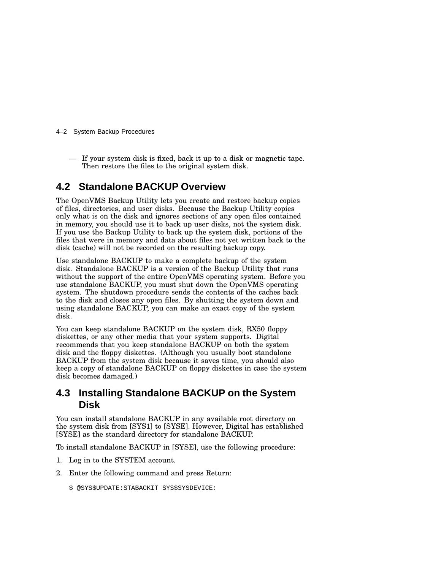- 4–2 System Backup Procedures
	- If your system disk is fixed, back it up to a disk or magnetic tape. Then restore the files to the original system disk.

### **4.2 Standalone BACKUP Overview**

The OpenVMS Backup Utility lets you create and restore backup copies of files, directories, and user disks. Because the Backup Utility copies only what is on the disk and ignores sections of any open files contained in memory, you should use it to back up user disks, not the system disk. If you use the Backup Utility to back up the system disk, portions of the files that were in memory and data about files not yet written back to the disk (cache) will not be recorded on the resulting backup copy.

Use standalone BACKUP to make a complete backup of the system disk. Standalone BACKUP is a version of the Backup Utility that runs without the support of the entire OpenVMS operating system. Before you use standalone BACKUP, you must shut down the OpenVMS operating system. The shutdown procedure sends the contents of the caches back to the disk and closes any open files. By shutting the system down and using standalone BACKUP, you can make an exact copy of the system disk.

You can keep standalone BACKUP on the system disk, RX50 floppy diskettes, or any other media that your system supports. Digital recommends that you keep standalone BACKUP on both the system disk and the floppy diskettes. (Although you usually boot standalone BACKUP from the system disk because it saves time, you should also keep a copy of standalone BACKUP on floppy diskettes in case the system disk becomes damaged.)

#### **4.3 Installing Standalone BACKUP on the System Disk**

You can install standalone BACKUP in any available root directory on the system disk from [SYS1] to [SYSE]. However, Digital has established [SYSE] as the standard directory for standalone BACKUP.

To install standalone BACKUP in [SYSE], use the following procedure:

- 1. Log in to the SYSTEM account.
- 2. Enter the following command and press Return:

\$ @SYS\$UPDATE:STABACKIT SYS\$SYSDEVICE: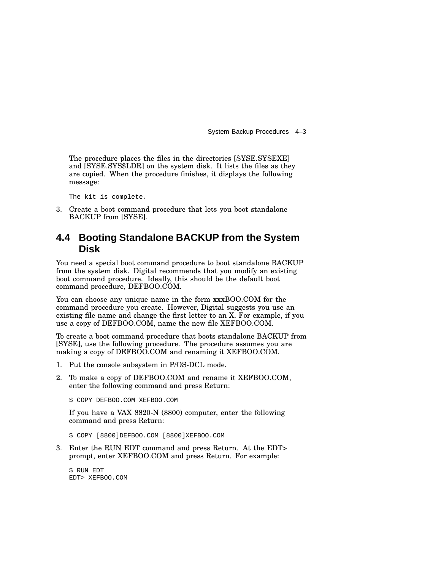System Backup Procedures 4–3

The procedure places the files in the directories [SYSE.SYSEXE] and [SYSE.SYS\$LDR] on the system disk. It lists the files as they are copied. When the procedure finishes, it displays the following message:

The kit is complete.

3. Create a boot command procedure that lets you boot standalone BACKUP from [SYSE].

#### **4.4 Booting Standalone BACKUP from the System Disk**

You need a special boot command procedure to boot standalone BACKUP from the system disk. Digital recommends that you modify an existing boot command procedure. Ideally, this should be the default boot command procedure, DEFBOO.COM.

You can choose any unique name in the form  $xxxBOO.COM$  for the command procedure you create. However, Digital suggests you use an existing file name and change the first letter to an X. For example, if you use a copy of DEFBOO.COM, name the new file XEFBOO.COM.

To create a boot command procedure that boots standalone BACKUP from [SYSE], use the following procedure. The procedure assumes you are making a copy of DEFBOO.COM and renaming it XEFBOO.COM.

- 1. Put the console subsystem in P/OS-DCL mode.
- 2. To make a copy of DEFBOO.COM and rename it XEFBOO.COM, enter the following command and press Return:

\$ COPY DEFBOO.COM XEFBOO.COM

If you have a VAX 8820-N (8800) computer, enter the following command and press Return:

\$ COPY [8800]DEFBOO.COM [8800]XEFBOO.COM

3. Enter the RUN EDT command and press Return. At the EDT> prompt, enter XEFBOO.COM and press Return. For example:

\$ RUN EDT EDT> XEFBOO.COM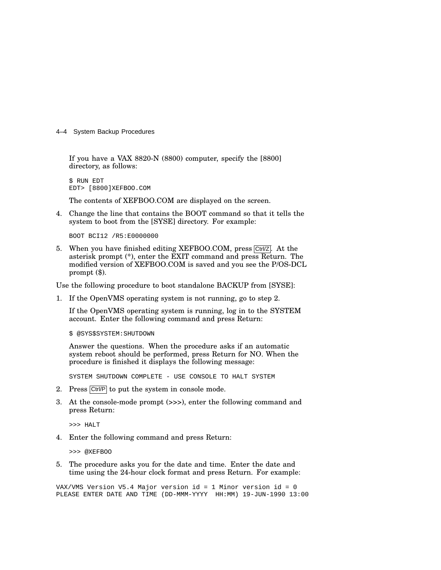4–4 System Backup Procedures

If you have a VAX 8820-N (8800) computer, specify the [8800] directory, as follows:

\$ RUN EDT EDT> [8800]XEFBOO.COM

The contents of XEFBOO.COM are displayed on the screen.

4. Change the line that contains the BOOT command so that it tells the system to boot from the [SYSE] directory. For example:

BOOT BCI12 /R5:E0000000

5. When you have finished editing XEFBOO.COM, press  $\boxed{\text{Ctrl/Z}}$ . At the asterisk prompt (\*), enter the EXIT command and press Return. The modified version of XEFBOO.COM is saved and you see the P/OS-DCL prompt (\$).

Use the following procedure to boot standalone BACKUP from [SYSE]:

1. If the OpenVMS operating system is not running, go to step 2.

If the OpenVMS operating system is running, log in to the SYSTEM account. Enter the following command and press Return:

\$ @SYS\$SYSTEM:SHUTDOWN

Answer the questions. When the procedure asks if an automatic system reboot should be performed, press Return for NO. When the procedure is finished it displays the following message:

SYSTEM SHUTDOWN COMPLETE - USE CONSOLE TO HALT SYSTEM

- 2. Press Ctrl/P to put the system in console mode.
- 3. At the console-mode prompt (>>>), enter the following command and press Return:

>>> HALT

4. Enter the following command and press Return:

>>> @XEFBOO

5. The procedure asks you for the date and time. Enter the date and time using the 24-hour clock format and press Return. For example:

VAX/VMS Version V5.4 Major version id = 1 Minor version id = 0 PLEASE ENTER DATE AND TIME (DD-MMM-YYYY HH:MM) 19-JUN-1990 13:00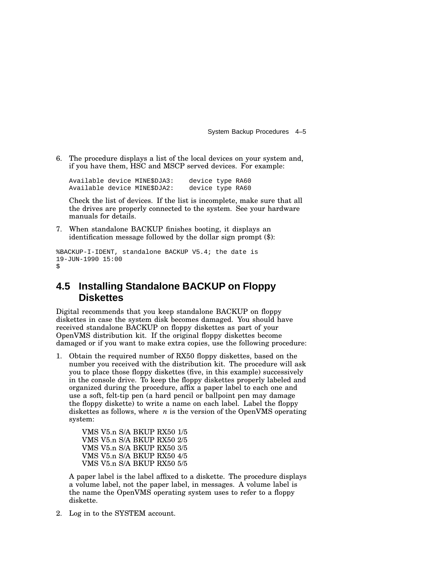System Backup Procedures 4–5

6. The procedure displays a list of the local devices on your system and, if you have them, HSC and MSCP served devices. For example:

Available device MINE\$DJA3: device type RA60 Available device MINE\$DJA2: device type RA60

Check the list of devices. If the list is incomplete, make sure that all the drives are properly connected to the system. See your hardware manuals for details.

7. When standalone BACKUP finishes booting, it displays an identification message followed by the dollar sign prompt (\$):

```
%BACKUP-I-IDENT, standalone BACKUP V5.4; the date is
19-JUN-1990 15:00
$
```
#### **4.5 Installing Standalone BACKUP on Floppy Diskettes**

Digital recommends that you keep standalone BACKUP on floppy diskettes in case the system disk becomes damaged. You should have received standalone BACKUP on floppy diskettes as part of your OpenVMS distribution kit. If the original floppy diskettes become damaged or if you want to make extra copies, use the following procedure:

1. Obtain the required number of RX50 floppy diskettes, based on the number you received with the distribution kit. The procedure will ask you to place those floppy diskettes (five, in this example) successively in the console drive. To keep the floppy diskettes properly labeled and organized during the procedure, affix a paper label to each one and use a soft, felt-tip pen (a hard pencil or ballpoint pen may damage the floppy diskette) to write a name on each label. Label the floppy diskettes as follows, where *n* is the version of the OpenVMS operating system:

> VMS V5.n S/A BKUP RX50 1/5 VMS V5.n S/A BKUP RX50 2/5 VMS V5.n S/A BKUP RX50 3/5 VMS V5.n S/A BKUP RX50 4/5 VMS V5.n S/A BKUP RX50 5/5

A paper label is the label affixed to a diskette. The procedure displays a volume label, not the paper label, in messages. A volume label is the name the OpenVMS operating system uses to refer to a floppy diskette.

2. Log in to the SYSTEM account.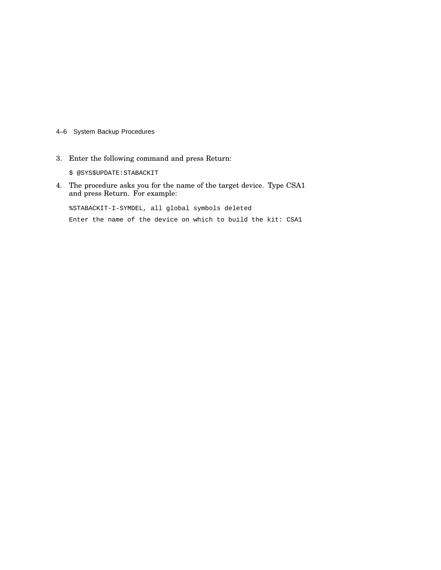- 4–6 System Backup Procedures
- 3. Enter the following command and press Return:

\$ @SYS\$UPDATE:STABACKIT

4. The procedure asks you for the name of the target device. Type CSA1 and press Return. For example:

%STABACKIT-I-SYMDEL, all global symbols deleted

Enter the name of the device on which to build the kit: CSA1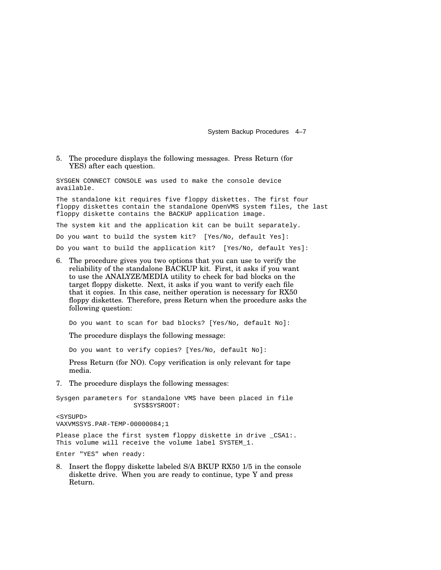System Backup Procedures 4–7

#### 5. The procedure displays the following messages. Press Return (for YES) after each question.

SYSGEN CONNECT CONSOLE was used to make the console device available.

The standalone kit requires five floppy diskettes. The first four floppy diskettes contain the standalone OpenVMS system files, the last floppy diskette contains the BACKUP application image.

The system kit and the application kit can be built separately.

Do you want to build the system kit? [Yes/No, default Yes]:

Do you want to build the application kit? [Yes/No, default Yes]:

6. The procedure gives you two options that you can use to verify the reliability of the standalone BACKUP kit. First, it asks if you want to use the ANALYZE/MEDIA utility to check for bad blocks on the target floppy diskette. Next, it asks if you want to verify each file that it copies. In this case, neither operation is necessary for RX50 floppy diskettes. Therefore, press Return when the procedure asks the following question:

Do you want to scan for bad blocks? [Yes/No, default No]:

The procedure displays the following message:

Do you want to verify copies? [Yes/No, default No]:

Press Return (for NO). Copy verification is only relevant for tape media.

7. The procedure displays the following messages:

Sysgen parameters for standalone VMS have been placed in file SYS\$SYSROOT: <SYSUPD> VAXVMSSYS.PAR-TEMP-00000084;1 Please place the first system floppy diskette in drive \_CSA1:. This volume will receive the volume label SYSTEM\_1.

Enter "YES" when ready:

8. Insert the floppy diskette labeled S/A BKUP RX50 1/5 in the console diskette drive. When you are ready to continue, type Y and press Return.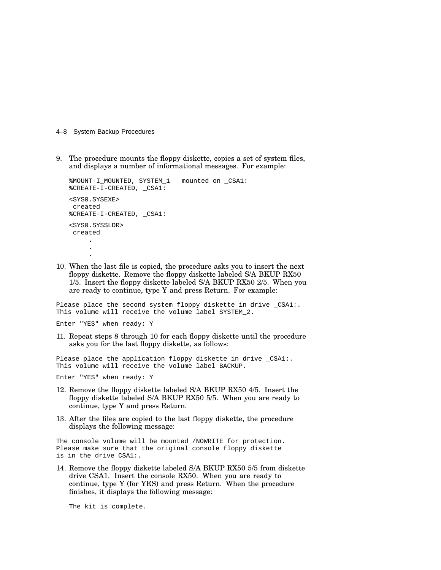- 4–8 System Backup Procedures
- 9. The procedure mounts the floppy diskette, copies a set of system files, and displays a number of informational messages. For example:

```
%MOUNT-I_MOUNTED, SYSTEM_1 mounted on _CSA1:
%CREATE-I-CREATED, _CSA1:
<SYS0.SYSEXE>
created
%CREATE-I-CREATED, _CSA1:
<SYS0.SYS$LDR>
created
     .
     .
     .
```
10. When the last file is copied, the procedure asks you to insert the next floppy diskette. Remove the floppy diskette labeled S/A BKUP RX50 1/5. Insert the floppy diskette labeled S/A BKUP RX50 2/5. When you are ready to continue, type Y and press Return. For example:

Please place the second system floppy diskette in drive \_CSA1:. This volume will receive the volume label SYSTEM\_2.

Enter "YES" when ready: Y

11. Repeat steps 8 through 10 for each floppy diskette until the procedure asks you for the last floppy diskette, as follows:

Please place the application floppy diskette in drive \_CSA1:. This volume will receive the volume label BACKUP.

Enter "YES" when ready: Y

- 12. Remove the floppy diskette labeled S/A BKUP RX50 4/5. Insert the floppy diskette labeled S/A BKUP RX50 5/5. When you are ready to continue, type Y and press Return.
- 13. After the files are copied to the last floppy diskette, the procedure displays the following message:

The console volume will be mounted /NOWRITE for protection. Please make sure that the original console floppy diskette is in the drive CSA1:.

14. Remove the floppy diskette labeled S/A BKUP RX50 5/5 from diskette drive CSA1. Insert the console RX50. When you are ready to continue, type Y (for YES) and press Return. When the procedure finishes, it displays the following message:

The kit is complete.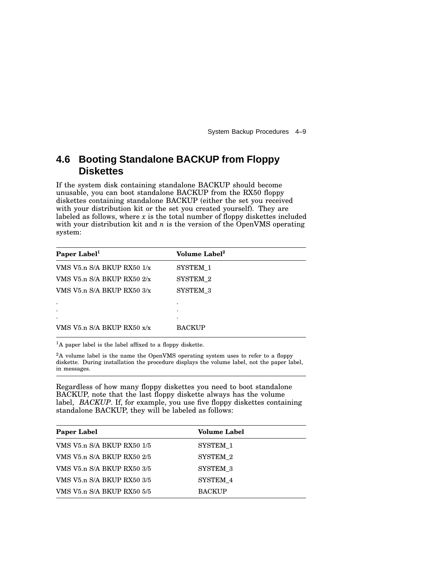System Backup Procedures 4–9

## **4.6 Booting Standalone BACKUP from Floppy Diskettes**

If the system disk containing standalone BACKUP should become unusable, you can boot standalone BACKUP from the RX50 floppy diskettes containing standalone BACKUP (either the set you received with your distribution kit or the set you created yourself). They are labeled as follows, where *x* is the total number of floppy diskettes included with your distribution kit and *n* is the version of the OpenVMS operating system:

| Paper Label <sup>1</sup>       | Volume Label <sup>2</sup> |
|--------------------------------|---------------------------|
| VMS V5.n $S/A$ BKUP RX50 $1/x$ | SYSTEM 1                  |
| VMS V5.n $S/A$ BKUP RX50 $2/x$ | SYSTEM 2                  |
| VMS V5.n S/A BKUP RX50 3/x     | SYSTEM 3                  |
| $\bullet$                      |                           |
| ٠                              |                           |
| ٠                              |                           |
| VMS V5.n S/A BKUP RX50 x/x     | <b>BACKUP</b>             |

<sup>1</sup>A paper label is the label affixed to a floppy diskette.

<sup>2</sup>A volume label is the name the OpenVMS operating system uses to refer to a floppy diskette. During installation the procedure displays the volume label, not the paper label, in messages.

Regardless of how many floppy diskettes you need to boot standalone BACKUP, note that the last floppy diskette always has the volume label, *BACKUP*. If, for example, you use five floppy diskettes containing standalone BACKUP, they will be labeled as follows:

| <b>Paper Label</b>         | <b>Volume Label</b> |  |
|----------------------------|---------------------|--|
| VMS V5.n S/A BKUP RX50 1/5 | SYSTEM 1            |  |
| VMS V5.n S/A BKUP RX50 2/5 | SYSTEM 2            |  |
| VMS V5.n S/A BKUP RX50 3/5 | SYSTEM 3            |  |
| VMS V5.n S/A BKUP RX50 3/5 | SYSTEM 4            |  |
| VMS V5.n S/A BKUP RX50 5/5 | <b>BACKUP</b>       |  |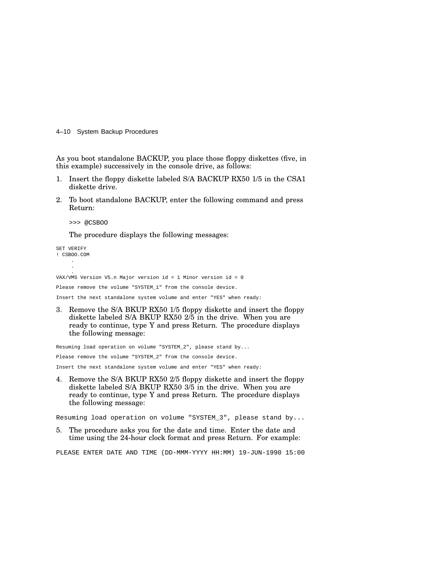4–10 System Backup Procedures

As you boot standalone BACKUP, you place those floppy diskettes (five, in this example) successively in the console drive, as follows:

- 1. Insert the floppy diskette labeled S/A BACKUP RX50 1/5 in the CSA1 diskette drive.
- 2. To boot standalone BACKUP, enter the following command and press Return:

>>> @CSBOO

The procedure displays the following messages:

SET VERIFY ! CSBOO.COM . .

. VAX/VMS Version V5.n Major version id = 1 Minor version id = 0

Please remove the volume "SYSTEM\_1" from the console device.

Insert the next standalone system volume and enter "YES" when ready:

3. Remove the S/A BKUP RX50 1/5 floppy diskette and insert the floppy diskette labeled S/A BKUP RX50 2/5 in the drive. When you are ready to continue, type Y and press Return. The procedure displays the following message:

Resuming load operation on volume "SYSTEM\_2", please stand by... Please remove the volume "SYSTEM\_2" from the console device. Insert the next standalone system volume and enter "YES" when ready:

4. Remove the S/A BKUP RX50 2/5 floppy diskette and insert the floppy diskette labeled S/A BKUP RX50 3/5 in the drive. When you are ready to continue, type Y and press Return. The procedure displays the following message:

Resuming load operation on volume "SYSTEM\_3", please stand by...

5. The procedure asks you for the date and time. Enter the date and time using the 24-hour clock format and press Return. For example:

PLEASE ENTER DATE AND TIME (DD-MMM-YYYY HH:MM) 19-JUN-1990 15:00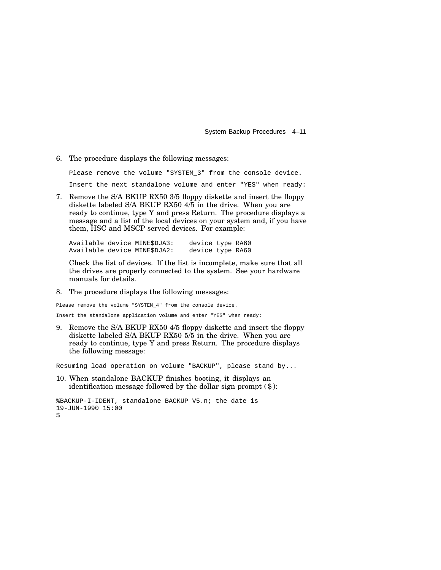System Backup Procedures 4–11

6. The procedure displays the following messages:

Please remove the volume "SYSTEM\_3" from the console device. Insert the next standalone volume and enter "YES" when ready:

7. Remove the S/A BKUP RX50 3/5 floppy diskette and insert the floppy diskette labeled S/A BKUP RX50 4/5 in the drive. When you are ready to continue, type Y and press Return. The procedure displays a message and a list of the local devices on your system and, if you have them, HSC and MSCP served devices. For example:

Available device MINE\$DJA3: device type RA60 Available device MINE\$DJA2: device type RA60

Check the list of devices. If the list is incomplete, make sure that all the drives are properly connected to the system. See your hardware manuals for details.

8. The procedure displays the following messages:

Please remove the volume "SYSTEM\_4" from the console device. Insert the standalone application volume and enter "YES" when ready:

9. Remove the S/A BKUP RX50 4/5 floppy diskette and insert the floppy diskette labeled S/A BKUP RX50 5/5 in the drive. When you are ready to continue, type Y and press Return. The procedure displays the following message:

Resuming load operation on volume "BACKUP", please stand by...

10. When standalone BACKUP finishes booting, it displays an identification message followed by the dollar sign prompt (\$):

```
%BACKUP-I-IDENT, standalone BACKUP V5.n; the date is
19-JUN-1990 15:00
$
```